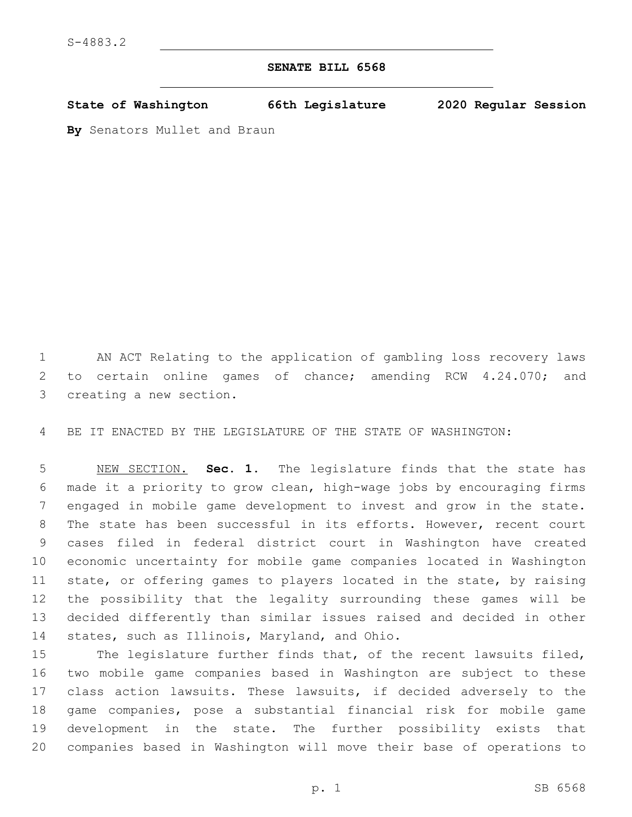## **SENATE BILL 6568**

**State of Washington 66th Legislature 2020 Regular Session**

**By** Senators Mullet and Braun

 AN ACT Relating to the application of gambling loss recovery laws to certain online games of chance; amending RCW 4.24.070; and 3 creating a new section.

BE IT ENACTED BY THE LEGISLATURE OF THE STATE OF WASHINGTON:

 NEW SECTION. **Sec. 1.** The legislature finds that the state has made it a priority to grow clean, high-wage jobs by encouraging firms engaged in mobile game development to invest and grow in the state. The state has been successful in its efforts. However, recent court cases filed in federal district court in Washington have created economic uncertainty for mobile game companies located in Washington state, or offering games to players located in the state, by raising the possibility that the legality surrounding these games will be decided differently than similar issues raised and decided in other states, such as Illinois, Maryland, and Ohio.

 The legislature further finds that, of the recent lawsuits filed, two mobile game companies based in Washington are subject to these class action lawsuits. These lawsuits, if decided adversely to the game companies, pose a substantial financial risk for mobile game development in the state. The further possibility exists that companies based in Washington will move their base of operations to